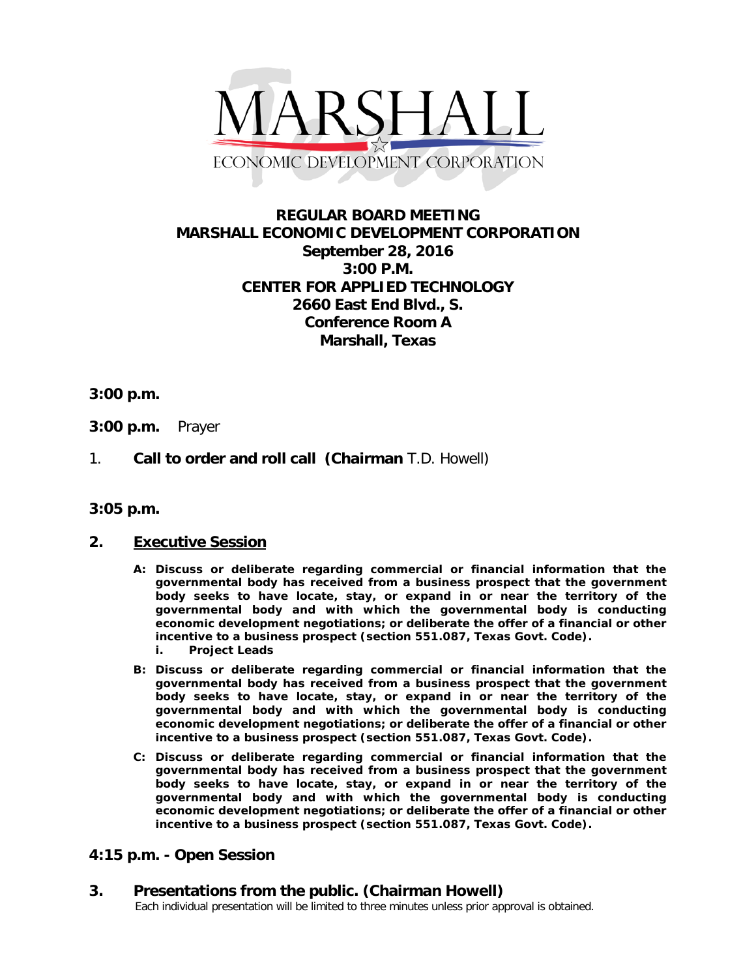

# **REGULAR BOARD MEETING MARSHALL ECONOMIC DEVELOPMENT CORPORATION September 28, 2016 3:00 P.M. CENTER FOR APPLIED TECHNOLOGY 2660 East End Blvd., S. Conference Room A Marshall, Texas**

#### **3:00 p.m.**

- **3:00 p.m.** Prayer
- 1. **Call to order and roll call (Chairman** T.D. Howell)

#### **3:05 p.m.**

#### **2. Executive Session**

- **A: Discuss or deliberate regarding commercial or financial information that the governmental body has received from a business prospect that the government body seeks to have locate, stay, or expand in or near the territory of the governmental body and with which the governmental body is conducting economic development negotiations; or deliberate the offer of a financial or other incentive to a business prospect (section 551.087, Texas Govt. Code). i. Project Leads**
- **B: Discuss or deliberate regarding commercial or financial information that the governmental body has received from a business prospect that the government body seeks to have locate, stay, or expand in or near the territory of the governmental body and with which the governmental body is conducting economic development negotiations; or deliberate the offer of a financial or other incentive to a business prospect (section 551.087, Texas Govt. Code).**
- **C: Discuss or deliberate regarding commercial or financial information that the governmental body has received from a business prospect that the government body seeks to have locate, stay, or expand in or near the territory of the governmental body and with which the governmental body is conducting economic development negotiations; or deliberate the offer of a financial or other incentive to a business prospect (section 551.087, Texas Govt. Code).**

### **4:15 p.m. - Open Session**

# **3. Presentations from the public. (Chairman Howell)**<br>Each individual presentation will be limited to three minutes unless prior approval is obtained.